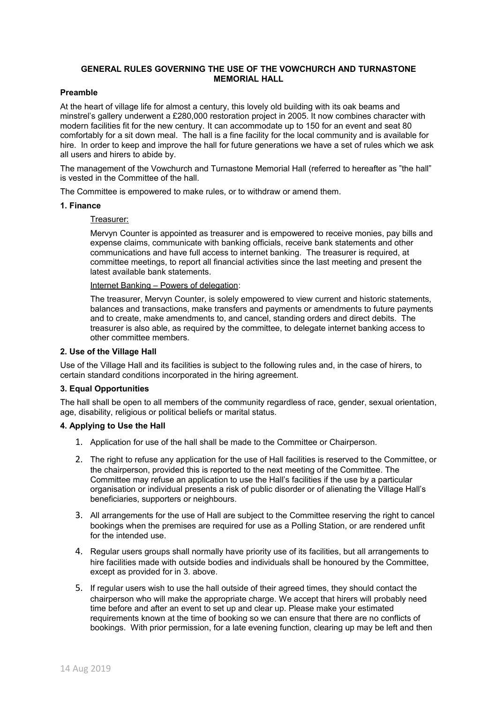# **GENERAL RULES GOVERNING THE USE OF THE VOWCHURCH AND TURNASTONE MEMORIAL HALL**

# **Preamble**

At the heart of village life for almost a century, this lovely old building with its oak beams and minstrel's gallery underwent a £280,000 restoration project in 2005. It now combines character with modern facilities fit for the new century. It can accommodate up to 150 for an event and seat 80 comfortably for a sit down meal. The hall is a fine facility for the local community and is available for hire. In order to keep and improve the hall for future generations we have a set of rules which we ask all users and hirers to abide by.

The management of the Vowchurch and Turnastone Memorial Hall (referred to hereafter as "the hall" is vested in the Committee of the hall.

The Committee is empowered to make rules, or to withdraw or amend them.

#### **1. Finance**

# Treasurer:

Mervyn Counter is appointed as treasurer and is empowered to receive monies, pay bills and expense claims, communicate with banking officials, receive bank statements and other communications and have full access to internet banking. The treasurer is required, at committee meetings, to report all financial activities since the last meeting and present the latest available bank statements.

Internet Banking – Powers of delegation:

The treasurer, Mervyn Counter, is solely empowered to view current and historic statements, balances and transactions, make transfers and payments or amendments to future payments and to create, make amendments to, and cancel, standing orders and direct debits. The treasurer is also able, as required by the committee, to delegate internet banking access to other committee members.

#### **2. Use of the Village Hall**

Use of the Village Hall and its facilities is subject to the following rules and, in the case of hirers, to certain standard conditions incorporated in the hiring agreement.

# **3. Equal Opportunities**

The hall shall be open to all members of the community regardless of race, gender, sexual orientation, age, disability, religious or political beliefs or marital status.

## **4. Applying to Use the Hall**

- 1. Application for use of the hall shall be made to the Committee or Chairperson.
- 2. The right to refuse any application for the use of Hall facilities is reserved to the Committee, or the chairperson, provided this is reported to the next meeting of the Committee. The Committee may refuse an application to use the Hall's facilities if the use by a particular organisation or individual presents a risk of public disorder or of alienating the Village Hall's beneficiaries, supporters or neighbours.
- 3. All arrangements for the use of Hall are subject to the Committee reserving the right to cancel bookings when the premises are required for use as a Polling Station, or are rendered unfit for the intended use.
- 4. Regular users groups shall normally have priority use of its facilities, but all arrangements to hire facilities made with outside bodies and individuals shall be honoured by the Committee, except as provided for in 3. above.
- 5. If regular users wish to use the hall outside of their agreed times, they should contact the chairperson who will make the appropriate charge. We accept that hirers will probably need time before and after an event to set up and clear up. Please make your estimated requirements known at the time of booking so we can ensure that there are no conflicts of bookings. With prior permission, for a late evening function, clearing up may be left and then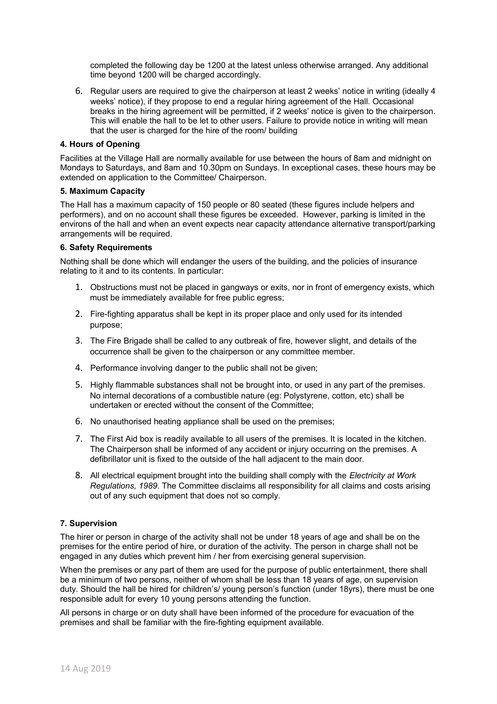completed the following day be 1200 at the latest unless otherwise arranged. Any additional time beyond 1200 will be charged accordingly.

6. Regular users are required to give the chairperson at least 2 weeks' notice in writing (ideally 4 weeks' notice), if they propose to end a regular hiring agreement of the Hall. Occasional breaks in the hiring agreement will be permitted, if 2 weeks' notice is given to the chairperson. This will enable the hall to be let to other users. Failure to provide notice in writing will mean that the user is charged for the hire of the room/ building

## **4. Hours of Opening**

Facilities at the Village Hall are normally available for use between the hours of 8am and midnight on Mondays to Saturdays, and 8am and 10.30pm on Sundays. In exceptional cases, these hours may be extended on application to the Committee/ Chairperson.

#### **5. Maximum Capacity**

The Hall has a maximum capacity of 150 people or 80 seated (these figures include helpers and performers), and on no account shall these figures be exceeded. However, parking is limited in the environs of the hall and when an event expects near capacity attendance alternative transport/parking arrangements will be required.

# **6. Safety Requirements**

Nothing shall be done which will endanger the users of the building, and the policies of insurance relating to it and to its contents. In particular:

- 1. Obstructions must not be placed in gangways or exits, nor in front of emergency exists, which must be immediately available for free public egress;
- 2. Fire-fighting apparatus shall be kept in its proper place and only used for its intended purpose;
- 3. The Fire Brigade shall be called to any outbreak of fire, however slight, and details of the occurrence shall be given to the chairperson or any committee member.
- 4. Performance involving danger to the public shall not be given;
- 5. Highly flammable substances shall not be brought into, or used in any part of the premises. No internal decorations of a combustible nature (eg: Polystyrene, cotton, etc) shall be undertaken or erected without the consent of the Committee;
- 6. No unauthorised heating appliance shall be used on the premises;
- 7. The First Aid box is readily available to all users of the premises. It is located in the kitchen. The Chairperson shall be informed of any accident or injury occurring on the premises. A defibrillator unit is fixed to the outside of the hall adjacent to the main door.
- 8. All electrical equipment brought into the building shall comply with the *Electricity at Work Regulations, 1989*. The Committee disclaims all responsibility for all claims and costs arising out of any such equipment that does not so comply.

# **7. Supervision**

The hirer or person in charge of the activity shall not be under 18 years of age and shall be on the premises for the entire period of hire, or duration of the activity. The person in charge shall not be engaged in any duties which prevent him / her from exercising general supervision.

When the premises or any part of them are used for the purpose of public entertainment, there shall be a minimum of two persons, neither of whom shall be less than 18 years of age, on supervision duty. Should the hall be hired for children's/ young person's function (under 18yrs), there must be one responsible adult for every 10 young persons attending the function.

All persons in charge or on duty shall have been informed of the procedure for evacuation of the premises and shall be familiar with the fire-fighting equipment available.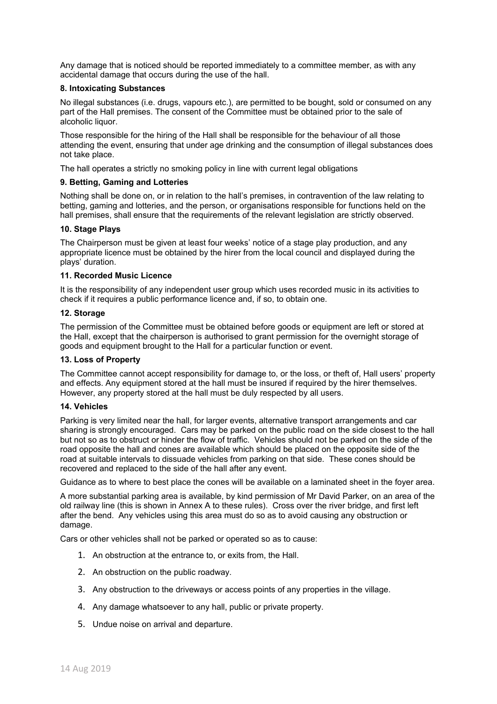Any damage that is noticed should be reported immediately to a committee member, as with any accidental damage that occurs during the use of the hall.

## **8. Intoxicating Substances**

No illegal substances (i.e. drugs, vapours etc.), are permitted to be bought, sold or consumed on any part of the Hall premises. The consent of the Committee must be obtained prior to the sale of alcoholic liquor.

Those responsible for the hiring of the Hall shall be responsible for the behaviour of all those attending the event, ensuring that under age drinking and the consumption of illegal substances does not take place.

The hall operates a strictly no smoking policy in line with current legal obligations

# **9. Betting, Gaming and Lotteries**

Nothing shall be done on, or in relation to the hall's premises, in contravention of the law relating to betting, gaming and lotteries, and the person, or organisations responsible for functions held on the hall premises, shall ensure that the requirements of the relevant legislation are strictly observed.

# **10. Stage Plays**

The Chairperson must be given at least four weeks' notice of a stage play production, and any appropriate licence must be obtained by the hirer from the local council and displayed during the plays' duration.

#### **11. Recorded Music Licence**

It is the responsibility of any independent user group which uses recorded music in its activities to check if it requires a public performance licence and, if so, to obtain one.

#### **12. Storage**

The permission of the Committee must be obtained before goods or equipment are left or stored at the Hall, except that the chairperson is authorised to grant permission for the overnight storage of goods and equipment brought to the Hall for a particular function or event.

#### **13. Loss of Property**

The Committee cannot accept responsibility for damage to, or the loss, or theft of, Hall users' property and effects. Any equipment stored at the hall must be insured if required by the hirer themselves. However, any property stored at the hall must be duly respected by all users.

#### **14. Vehicles**

Parking is very limited near the hall, for larger events, alternative transport arrangements and car sharing is strongly encouraged. Cars may be parked on the public road on the side closest to the hall but not so as to obstruct or hinder the flow of traffic. Vehicles should not be parked on the side of the road opposite the hall and cones are available which should be placed on the opposite side of the road at suitable intervals to dissuade vehicles from parking on that side. These cones should be recovered and replaced to the side of the hall after any event.

Guidance as to where to best place the cones will be available on a laminated sheet in the foyer area.

A more substantial parking area is available, by kind permission of Mr David Parker, on an area of the old railway line (this is shown in Annex A to these rules). Cross over the river bridge, and first left after the bend. Any vehicles using this area must do so as to avoid causing any obstruction or damage.

Cars or other vehicles shall not be parked or operated so as to cause:

- 1. An obstruction at the entrance to, or exits from, the Hall.
- 2. An obstruction on the public roadway.
- 3. Any obstruction to the driveways or access points of any properties in the village.
- 4. Any damage whatsoever to any hall, public or private property.
- 5. Undue noise on arrival and departure.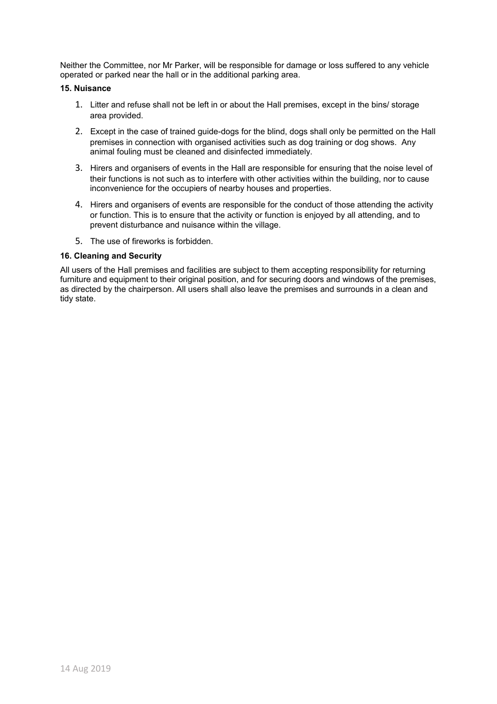Neither the Committee, nor Mr Parker, will be responsible for damage or loss suffered to any vehicle operated or parked near the hall or in the additional parking area.

# **15. Nuisance**

- 1. Litter and refuse shall not be left in or about the Hall premises, except in the bins/ storage area provided.
- 2. Except in the case of trained guide-dogs for the blind, dogs shall only be permitted on the Hall premises in connection with organised activities such as dog training or dog shows. Any animal fouling must be cleaned and disinfected immediately.
- 3. Hirers and organisers of events in the Hall are responsible for ensuring that the noise level of their functions is not such as to interfere with other activities within the building, nor to cause inconvenience for the occupiers of nearby houses and properties.
- 4. Hirers and organisers of events are responsible for the conduct of those attending the activity or function. This is to ensure that the activity or function is enjoyed by all attending, and to prevent disturbance and nuisance within the village.
- 5. The use of fireworks is forbidden.

# **16. Cleaning and Security**

All users of the Hall premises and facilities are subject to them accepting responsibility for returning furniture and equipment to their original position, and for securing doors and windows of the premises, as directed by the chairperson. All users shall also leave the premises and surrounds in a clean and tidy state.